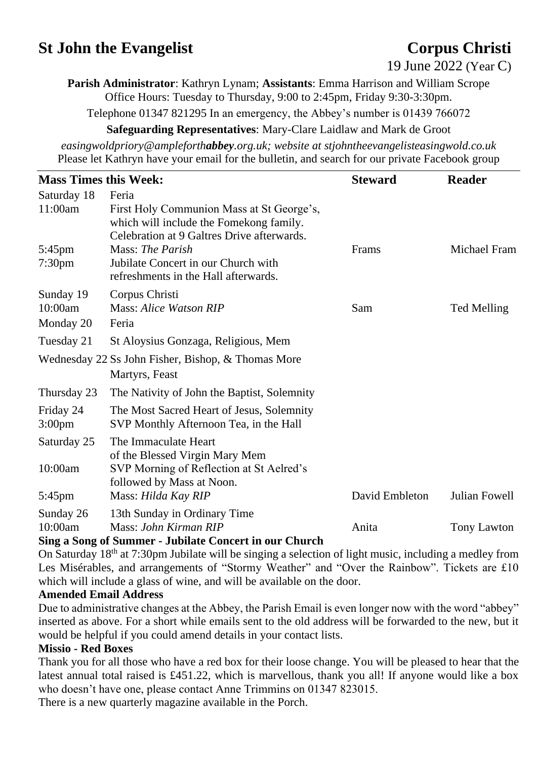# **St John the Evangelist** Corpus Christi

19 June 2022 (Year C)

**Parish Administrator**: Kathryn Lynam; **Assistants**: Emma Harrison and William Scrope Office Hours: Tuesday to Thursday, 9:00 to 2:45pm, Friday 9:30-3:30pm.

Telephone 01347 821295 In an emergency, the Abbey's number is 01439 766072

**Safeguarding Representatives**: Mary-Clare Laidlaw and Mark de Groot

*easingwoldpriory@ampleforthabbey.org.uk; website at stjohntheevangelisteasingwold.co.uk* Please let Kathryn have your email for the bulletin, and search for our private Facebook group

| <b>Mass Times this Week:</b>      |                                                                                                                                             | <b>Steward</b> | <b>Reader</b> |
|-----------------------------------|---------------------------------------------------------------------------------------------------------------------------------------------|----------------|---------------|
| Saturday 18<br>11:00am            | Feria<br>First Holy Communion Mass at St George's,<br>which will include the Fomekong family.<br>Celebration at 9 Galtres Drive afterwards. |                |               |
| $5:45$ pm<br>7:30 <sub>pm</sub>   | Mass: The Parish<br>Jubilate Concert in our Church with<br>refreshments in the Hall afterwards.                                             | Frams          | Michael Fram  |
| Sunday 19<br>10:00am<br>Monday 20 | Corpus Christi<br>Mass: Alice Watson RIP<br>Feria                                                                                           | Sam            | Ted Melling   |
| Tuesday 21                        | St Aloysius Gonzaga, Religious, Mem                                                                                                         |                |               |
|                                   | Wednesday 22 Ss John Fisher, Bishop, & Thomas More<br>Martyrs, Feast                                                                        |                |               |
| Thursday 23                       | The Nativity of John the Baptist, Solemnity                                                                                                 |                |               |
| Friday 24<br>3:00 <sub>pm</sub>   | The Most Sacred Heart of Jesus, Solemnity<br>SVP Monthly Afternoon Tea, in the Hall                                                         |                |               |
| Saturday 25                       | The Immaculate Heart<br>of the Blessed Virgin Mary Mem                                                                                      |                |               |
| 10:00am                           | SVP Morning of Reflection at St Aelred's<br>followed by Mass at Noon.                                                                       |                |               |
| 5:45pm                            | Mass: Hilda Kay RIP                                                                                                                         | David Embleton | Julian Fowell |
| Sunday 26<br>10:00am              | 13th Sunday in Ordinary Time<br>Mass: John Kirman RIP<br>Cing o Cong of Cummon - Iubilate Congout in our Church                             | Anita          | Tony Lawton   |

#### **Sing a Song of Summer - Jubilate Concert in our Church**

On Saturday 18th at 7:30pm Jubilate will be singing a selection of light music, including a medley from Les Misérables, and arrangements of "Stormy Weather" and "Over the Rainbow". Tickets are £10 which will include a glass of wine, and will be available on the door.

### **Amended Email Address**

Due to administrative changes at the Abbey, the Parish Email is even longer now with the word "abbey" inserted as above. For a short while emails sent to the old address will be forwarded to the new, but it would be helpful if you could amend details in your contact lists.

### **Missio - Red Boxes**

Thank you for all those who have a red box for their loose change. You will be pleased to hear that the latest annual total raised is £451.22, which is marvellous, thank you all! If anyone would like a box who doesn't have one, please contact Anne Trimmins on 01347 823015.

There is a new quarterly magazine available in the Porch.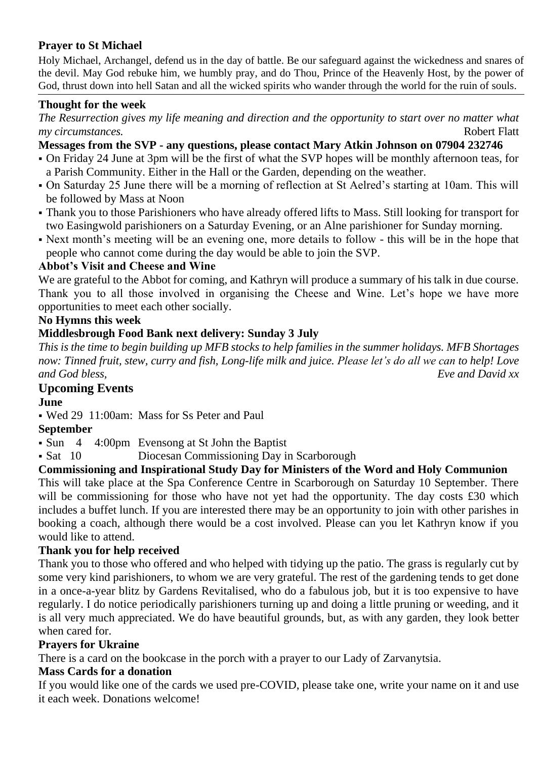# **Prayer to St Michael**

Holy Michael, Archangel, defend us in the day of battle. Be our safeguard against the wickedness and snares of the devil. May God rebuke him, we humbly pray, and do Thou, Prince of the Heavenly Host, by the power of God, thrust down into hell Satan and all the wicked spirits who wander through the world for the ruin of souls.

# **Thought for the week**

*The Resurrection gives my life meaning and direction and the opportunity to start over no matter what my circumstances.* Robert Flatt

# **Messages from the SVP - any questions, please contact Mary Atkin Johnson on 07904 232746**

- On Friday 24 June at 3pm will be the first of what the SVP hopes will be monthly afternoon teas, for a Parish Community. Either in the Hall or the Garden, depending on the weather.
- On Saturday 25 June there will be a morning of reflection at St Aelred's starting at 10am. This will be followed by Mass at Noon
- Thank you to those Parishioners who have already offered lifts to Mass. Still looking for transport for two Easingwold parishioners on a Saturday Evening, or an Alne parishioner for Sunday morning.
- Next month's meeting will be an evening one, more details to follow this will be in the hope that people who cannot come during the day would be able to join the SVP.

### **Abbot's Visit and Cheese and Wine**

We are grateful to the Abbot for coming, and Kathryn will produce a summary of his talk in due course. Thank you to all those involved in organising the Cheese and Wine. Let's hope we have more opportunities to meet each other socially.

# **No Hymns this week**

# **Middlesbrough Food Bank next delivery: Sunday 3 July**

*This is the time to begin building up MFB stocks to help families in the summer holidays. MFB Shortages now: Tinned fruit, stew, curry and fish, Long-life milk and juice. Please let's do all we can to help! Love and God bless, Eve and David xx*

# **Upcoming Events**

## **June**

▪ Wed 29 11:00am: Mass for Ss Peter and Paul

### **September**

• Sun 4 4:00pm Evensong at St John the Baptist

• Sat 10 Diocesan Commissioning Day in Scarborough

# **Commissioning and Inspirational Study Day for Ministers of the Word and Holy Communion**

This will take place at the Spa Conference Centre in Scarborough on Saturday 10 September. There will be commissioning for those who have not yet had the opportunity. The day costs £30 which includes a buffet lunch. If you are interested there may be an opportunity to join with other parishes in booking a coach, although there would be a cost involved. Please can you let Kathryn know if you would like to attend.

### **Thank you for help received**

Thank you to those who offered and who helped with tidying up the patio. The grass is regularly cut by some very kind parishioners, to whom we are very grateful. The rest of the gardening tends to get done in a once-a-year blitz by Gardens Revitalised, who do a fabulous job, but it is too expensive to have regularly. I do notice periodically parishioners turning up and doing a little pruning or weeding, and it is all very much appreciated. We do have beautiful grounds, but, as with any garden, they look better when cared for.

### **Prayers for Ukraine**

There is a card on the bookcase in the porch with a prayer to our Lady of Zarvanytsia.

### **Mass Cards for a donation**

If you would like one of the cards we used pre-COVID, please take one, write your name on it and use it each week. Donations welcome!